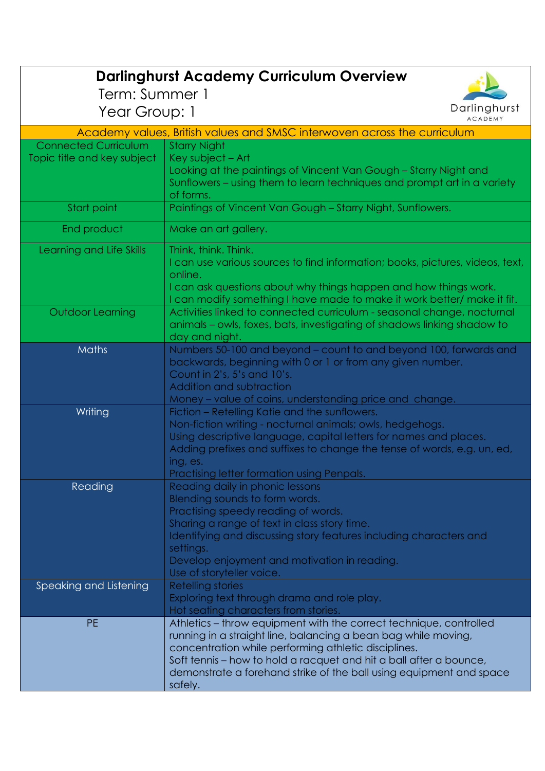| <b>Darlinghurst Academy Curriculum Overview</b>                          |                                                                                                                                           |  |
|--------------------------------------------------------------------------|-------------------------------------------------------------------------------------------------------------------------------------------|--|
| Term: Summer 1                                                           |                                                                                                                                           |  |
| Year Group: 1                                                            | Darlinghurst<br><b>ACADEMY</b>                                                                                                            |  |
| Academy values, British values and SMSC interwoven across the curriculum |                                                                                                                                           |  |
| <b>Connected Curriculum</b>                                              | <b>Starry Night</b>                                                                                                                       |  |
| Topic title and key subject                                              | Key subject - Art                                                                                                                         |  |
|                                                                          | Looking at the paintings of Vincent Van Gough – Starry Night and                                                                          |  |
|                                                                          | Sunflowers – using them to learn techniques and prompt art in a variety                                                                   |  |
| Start point                                                              | of forms.<br>Paintings of Vincent Van Gough - Starry Night, Sunflowers.                                                                   |  |
|                                                                          |                                                                                                                                           |  |
| End product                                                              | Make an art gallery.                                                                                                                      |  |
| Learning and Life Skills                                                 | Think, think. Think.                                                                                                                      |  |
|                                                                          | I can use various sources to find information; books, pictures, videos, text,                                                             |  |
|                                                                          | online.                                                                                                                                   |  |
|                                                                          | I can ask questions about why things happen and how things work.<br>can modify something I have made to make it work better/ make it fit. |  |
| Outdoor Learning                                                         | Activities linked to connected curriculum - seasonal change, nocturnal                                                                    |  |
|                                                                          | animals – owls, foxes, bats, investigating of shadows linking shadow to                                                                   |  |
|                                                                          | day and night.                                                                                                                            |  |
| Maths                                                                    | Numbers 50-100 and beyond – count to and beyond 100, forwards and                                                                         |  |
|                                                                          | backwards, beginning with 0 or 1 or from any given number.                                                                                |  |
|                                                                          | Count in 2's, 5's and 10's.<br>Addition and subtraction                                                                                   |  |
|                                                                          | Money – value of coins, understanding price and change.                                                                                   |  |
| Writing                                                                  | Fiction – Retelling Katie and the sunflowers.                                                                                             |  |
|                                                                          | Non-fiction writing - nocturnal animals; owls, hedgehogs.                                                                                 |  |
|                                                                          | Using descriptive language, capital letters for names and places.                                                                         |  |
|                                                                          | Adding prefixes and suffixes to change the tense of words, e.g. un, ed,                                                                   |  |
|                                                                          | ing, es.                                                                                                                                  |  |
| Reading                                                                  | Practising letter formation using Penpals.<br>Reading daily in phonic lessons                                                             |  |
|                                                                          | Blending sounds to form words.                                                                                                            |  |
|                                                                          | Practising speedy reading of words.                                                                                                       |  |
|                                                                          | Sharing a range of text in class story time.                                                                                              |  |
|                                                                          | Identifying and discussing story features including characters and                                                                        |  |
|                                                                          | settings.                                                                                                                                 |  |
|                                                                          | Develop enjoyment and motivation in reading.                                                                                              |  |
| Speaking and Listening                                                   | Use of storyteller voice.<br><b>Retelling stories</b>                                                                                     |  |
|                                                                          | Exploring text through drama and role play.                                                                                               |  |
|                                                                          | Hot seating characters from stories.                                                                                                      |  |
| <b>PE</b>                                                                | Athletics – throw equipment with the correct technique, controlled                                                                        |  |
|                                                                          | running in a straight line, balancing a bean bag while moving,                                                                            |  |
|                                                                          | concentration while performing athletic disciplines.                                                                                      |  |
|                                                                          | Soft tennis – how to hold a racquet and hit a ball after a bounce,                                                                        |  |
|                                                                          | demonstrate a forehand strike of the ball using equipment and space<br>safely.                                                            |  |
|                                                                          |                                                                                                                                           |  |